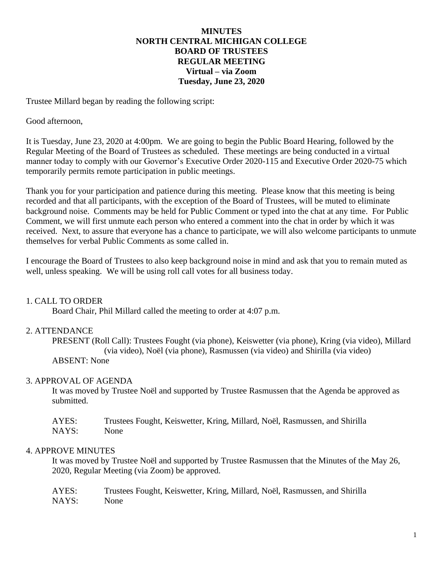### **MINUTES NORTH CENTRAL MICHIGAN COLLEGE BOARD OF TRUSTEES REGULAR MEETING Virtual – via Zoom Tuesday, June 23, 2020**

Trustee Millard began by reading the following script:

#### Good afternoon,

It is Tuesday, June 23, 2020 at 4:00pm. We are going to begin the Public Board Hearing, followed by the Regular Meeting of the Board of Trustees as scheduled. These meetings are being conducted in a virtual manner today to comply with our Governor's Executive Order 2020-115 and Executive Order 2020-75 which temporarily permits remote participation in public meetings.

Thank you for your participation and patience during this meeting. Please know that this meeting is being recorded and that all participants, with the exception of the Board of Trustees, will be muted to eliminate background noise. Comments may be held for Public Comment or typed into the chat at any time. For Public Comment, we will first unmute each person who entered a comment into the chat in order by which it was received. Next, to assure that everyone has a chance to participate, we will also welcome participants to unmute themselves for verbal Public Comments as some called in.

I encourage the Board of Trustees to also keep background noise in mind and ask that you to remain muted as well, unless speaking. We will be using roll call votes for all business today.

## 1. CALL TO ORDER

Board Chair, Phil Millard called the meeting to order at 4:07 p.m.

#### 2. ATTENDANCE

PRESENT (Roll Call): Trustees Fought (via phone), Keiswetter (via phone), Kring (via video), Millard (via video), Noël (via phone), Rasmussen (via video) and Shirilla (via video) ABSENT: None

#### 3. APPROVAL OF AGENDA

It was moved by Trustee Noël and supported by Trustee Rasmussen that the Agenda be approved as submitted.

| AYES: | Trustees Fought, Keiswetter, Kring, Millard, Noël, Rasmussen, and Shirilla |
|-------|----------------------------------------------------------------------------|
| NAYS: | None                                                                       |

#### 4. APPROVE MINUTES

It was moved by Trustee Noël and supported by Trustee Rasmussen that the Minutes of the May 26, 2020, Regular Meeting (via Zoom) be approved.

| AYES: | Trustees Fought, Keiswetter, Kring, Millard, Noël, Rasmussen, and Shirilla |
|-------|----------------------------------------------------------------------------|
| NAYS: | None                                                                       |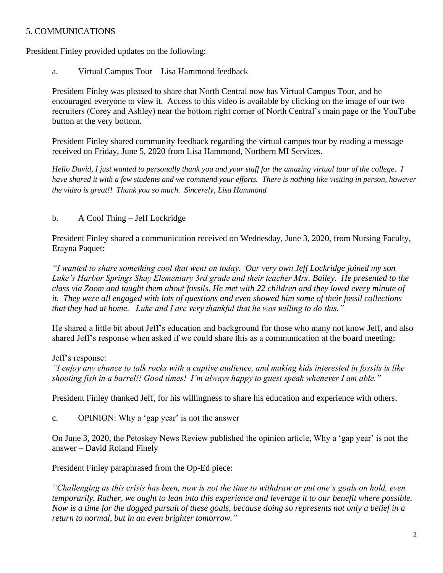## 5. COMMUNICATIONS

President Finley provided updates on the following:

a. Virtual Campus Tour – Lisa Hammond feedback

President Finley was pleased to share that North Central now has Virtual Campus Tour, and he encouraged everyone to view it. Access to this video is available by clicking on the image of our two recruiters (Corey and Ashley) near the bottom right corner of North Central's main page or the YouTube button at the very bottom.

President Finley shared community feedback regarding the virtual campus tour by reading a message received on Friday, June 5, 2020 from Lisa Hammond, Northern MI Services.

*Hello David, I just wanted to personally thank you and your staff for the amazing virtual tour of the college. I have shared it with a few students and we commend your efforts. There is nothing like visiting in person, however the video is great!! Thank you so much. Sincerely, Lisa Hammond*

# b. A Cool Thing – Jeff Lockridge

President Finley shared a communication received on Wednesday, June 3, 2020, from Nursing Faculty, Erayna Paquet:

*"I wanted to share something cool that went on today. Our very own Jeff Lockridge joined my son Luke's Harbor Springs Shay Elementary 3rd grade and their teacher Mrs. Bailey. He presented to the class via Zoom and taught them about fossils. He met with 22 children and they loved every minute of it. They were all engaged with lots of questions and even showed him some of their fossil collections that they had at home. Luke and I are very thankful that he was willing to do this."*

He shared a little bit about Jeff's education and background for those who many not know Jeff, and also shared Jeff's response when asked if we could share this as a communication at the board meeting:

# Jeff's response:

*"I enjoy any chance to talk rocks with a captive audience, and making kids interested in fossils is like shooting fish in a barrel!! Good times! I'm always happy to guest speak whenever I am able."*

President Finley thanked Jeff, for his willingness to share his education and experience with others.

c. OPINION: Why a 'gap year' is not the answer

On June 3, 2020, the Petoskey News Review published the opinion article, Why a 'gap year' is not the answer – David Roland Finely

President Finley paraphrased from the Op-Ed piece:

*"Challenging as this crisis has been, now is not the time to withdraw or put one's goals on hold, even temporarily. Rather, we ought to lean into this experience and leverage it to our benefit where possible. Now is a time for the dogged pursuit of these goals, because doing so represents not only a belief in a return to normal, but in an even brighter tomorrow."*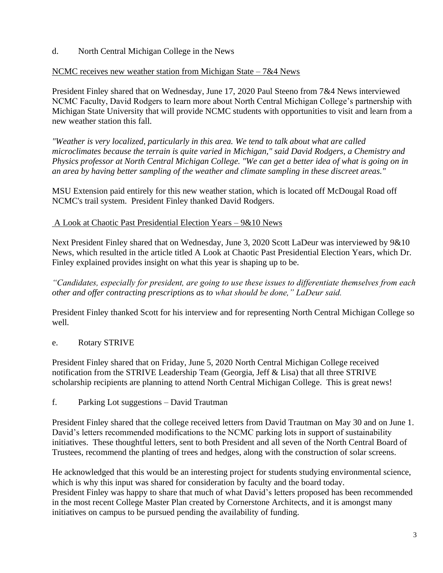d. North Central Michigan College in the News

# NCMC receives new weather station from Michigan State – 7&4 News

President Finley shared that on Wednesday, June 17, 2020 Paul Steeno from 7&4 News interviewed NCMC Faculty, David Rodgers to learn more about North Central Michigan College's partnership with Michigan State University that will provide NCMC students with opportunities to visit and learn from a new weather station this fall.

*"Weather is very localized, particularly in this area. We tend to talk about what are called microclimates because the terrain is quite varied in Michigan," said David Rodgers, a Chemistry and Physics professor at North Central Michigan College. "We can get a better idea of what is going on in an area by having better sampling of the weather and climate sampling in these discreet areas."*

MSU Extension paid entirely for this new weather station, which is located off McDougal Road off NCMC's trail system. President Finley thanked David Rodgers.

# A Look at Chaotic Past Presidential Election Years – 9&10 News

Next President Finley shared that on Wednesday, June 3, 2020 Scott LaDeur was interviewed by 9&10 News, which resulted in the article titled A Look at Chaotic Past Presidential Election Years, which Dr. Finley explained provides insight on what this year is shaping up to be.

*"Candidates, especially for president, are going to use these issues to differentiate themselves from each other and offer contracting prescriptions as to what should be done," LaDeur said.*

President Finley thanked Scott for his interview and for representing North Central Michigan College so well.

# e. Rotary STRIVE

President Finley shared that on Friday, June 5, 2020 North Central Michigan College received notification from the STRIVE Leadership Team (Georgia, Jeff & Lisa) that all three STRIVE scholarship recipients are planning to attend North Central Michigan College. This is great news!

f. Parking Lot suggestions – David Trautman

President Finley shared that the college received letters from David Trautman on May 30 and on June 1. David's letters recommended modifications to the NCMC parking lots in support of sustainability initiatives. These thoughtful letters, sent to both President and all seven of the North Central Board of Trustees, recommend the planting of trees and hedges, along with the construction of solar screens.

He acknowledged that this would be an interesting project for students studying environmental science, which is why this input was shared for consideration by faculty and the board today. President Finley was happy to share that much of what David's letters proposed has been recommended in the most recent College Master Plan created by Cornerstone Architects, and it is amongst many initiatives on campus to be pursued pending the availability of funding.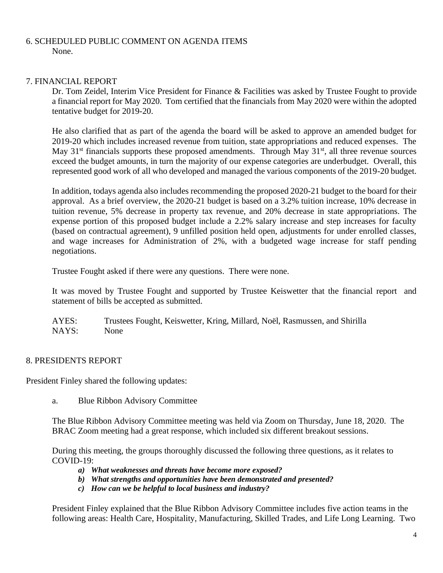### 6. SCHEDULED PUBLIC COMMENT ON AGENDA ITEMS None.

### 7. FINANCIAL REPORT

Dr. Tom Zeidel, Interim Vice President for Finance & Facilities was asked by Trustee Fought to provide a financial report for May 2020. Tom certified that the financials from May 2020 were within the adopted tentative budget for 2019-20.

He also clarified that as part of the agenda the board will be asked to approve an amended budget for 2019-20 which includes increased revenue from tuition, state appropriations and reduced expenses. The May 31<sup>st</sup> financials supports these proposed amendments. Through May 31<sup>st</sup>, all three revenue sources exceed the budget amounts, in turn the majority of our expense categories are underbudget. Overall, this represented good work of all who developed and managed the various components of the 2019-20 budget.

In addition, todays agenda also includes recommending the proposed 2020-21 budget to the board for their approval. As a brief overview, the 2020-21 budget is based on a 3.2% tuition increase, 10% decrease in tuition revenue, 5% decrease in property tax revenue, and 20% decrease in state appropriations. The expense portion of this proposed budget include a 2.2% salary increase and step increases for faculty (based on contractual agreement), 9 unfilled position held open, adjustments for under enrolled classes, and wage increases for Administration of 2%, with a budgeted wage increase for staff pending negotiations.

Trustee Fought asked if there were any questions. There were none.

It was moved by Trustee Fought and supported by Trustee Keiswetter that the financial report and statement of bills be accepted as submitted.

AYES: Trustees Fought, Keiswetter, Kring, Millard, Noël, Rasmussen, and Shirilla NAYS: None

## 8. PRESIDENTS REPORT

President Finley shared the following updates:

a. Blue Ribbon Advisory Committee

The Blue Ribbon Advisory Committee meeting was held via Zoom on Thursday, June 18, 2020. The BRAC Zoom meeting had a great response, which included six different breakout sessions.

During this meeting, the groups thoroughly discussed the following three questions, as it relates to  $COVID-19:$ 

- *a) What weaknesses and threats have become more exposed?*
- *b) What strengths and opportunities have been demonstrated and presented?*
- *c) How can we be helpful to local business and industry?*

President Finley explained that the Blue Ribbon Advisory Committee includes five action teams in the following areas: Health Care, Hospitality, Manufacturing, Skilled Trades, and Life Long Learning. Two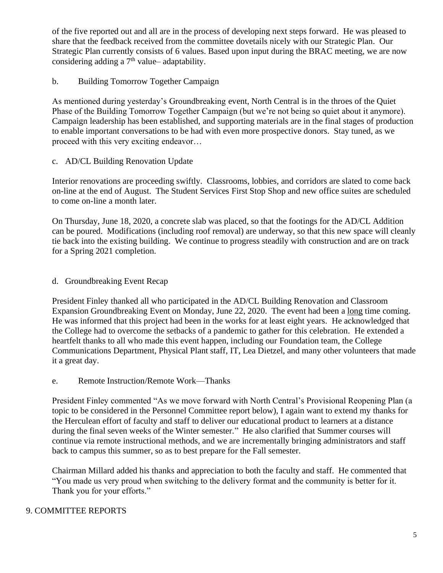of the five reported out and all are in the process of developing next steps forward. He was pleased to share that the feedback received from the committee dovetails nicely with our Strategic Plan. Our Strategic Plan currently consists of 6 values. Based upon input during the BRAC meeting, we are now considering adding a  $7<sup>th</sup>$  value– adaptability.

# b. Building Tomorrow Together Campaign

As mentioned during yesterday's Groundbreaking event, North Central is in the throes of the Quiet Phase of the Building Tomorrow Together Campaign (but we're not being so quiet about it anymore). Campaign leadership has been established, and supporting materials are in the final stages of production to enable important conversations to be had with even more prospective donors. Stay tuned, as we proceed with this very exciting endeavor…

## c. AD/CL Building Renovation Update

Interior renovations are proceeding swiftly. Classrooms, lobbies, and corridors are slated to come back on-line at the end of August. The Student Services First Stop Shop and new office suites are scheduled to come on-line a month later.

On Thursday, June 18, 2020, a concrete slab was placed, so that the footings for the AD/CL Addition can be poured. Modifications (including roof removal) are underway, so that this new space will cleanly tie back into the existing building. We continue to progress steadily with construction and are on track for a Spring 2021 completion.

## d. Groundbreaking Event Recap

President Finley thanked all who participated in the AD/CL Building Renovation and Classroom Expansion Groundbreaking Event on Monday, June 22, 2020. The event had been a long time coming. He was informed that this project had been in the works for at least eight years. He acknowledged that the College had to overcome the setbacks of a pandemic to gather for this celebration. He extended a heartfelt thanks to all who made this event happen, including our Foundation team, the College Communications Department, Physical Plant staff, IT, Lea Dietzel, and many other volunteers that made it a great day.

#### e. Remote Instruction/Remote Work—Thanks

President Finley commented "As we move forward with North Central's Provisional Reopening Plan (a topic to be considered in the Personnel Committee report below), I again want to extend my thanks for the Herculean effort of faculty and staff to deliver our educational product to learners at a distance during the final seven weeks of the Winter semester." He also clarified that Summer courses will continue via remote instructional methods, and we are incrementally bringing administrators and staff back to campus this summer, so as to best prepare for the Fall semester.

Chairman Millard added his thanks and appreciation to both the faculty and staff. He commented that "You made us very proud when switching to the delivery format and the community is better for it. Thank you for your efforts."

## 9. COMMITTEE REPORTS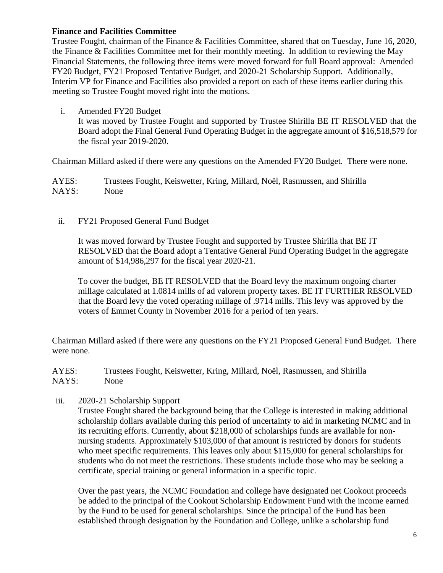### **Finance and Facilities Committee**

Trustee Fought, chairman of the Finance & Facilities Committee, shared that on Tuesday, June 16, 2020, the Finance & Facilities Committee met for their monthly meeting. In addition to reviewing the May Financial Statements, the following three items were moved forward for full Board approval: Amended FY20 Budget, FY21 Proposed Tentative Budget, and 2020-21 Scholarship Support. Additionally, Interim VP for Finance and Facilities also provided a report on each of these items earlier during this meeting so Trustee Fought moved right into the motions.

i. Amended FY20 Budget

It was moved by Trustee Fought and supported by Trustee Shirilla BE IT RESOLVED that the Board adopt the Final General Fund Operating Budget in the aggregate amount of \$16,518,579 for the fiscal year 2019-2020.

Chairman Millard asked if there were any questions on the Amended FY20 Budget. There were none.

AYES: Trustees Fought, Keiswetter, Kring, Millard, Noël, Rasmussen, and Shirilla NAYS: None

#### ii. FY21 Proposed General Fund Budget

It was moved forward by Trustee Fought and supported by Trustee Shirilla that BE IT RESOLVED that the Board adopt a Tentative General Fund Operating Budget in the aggregate amount of \$14,986,297 for the fiscal year 2020-21.

To cover the budget, BE IT RESOLVED that the Board levy the maximum ongoing charter millage calculated at 1.0814 mills of ad valorem property taxes. BE IT FURTHER RESOLVED that the Board levy the voted operating millage of .9714 mills. This levy was approved by the voters of Emmet County in November 2016 for a period of ten years.

Chairman Millard asked if there were any questions on the FY21 Proposed General Fund Budget. There were none.

AYES: Trustees Fought, Keiswetter, Kring, Millard, Noël, Rasmussen, and Shirilla NAYS: None

iii. 2020-21 Scholarship Support

Trustee Fought shared the background being that the College is interested in making additional scholarship dollars available during this period of uncertainty to aid in marketing NCMC and in its recruiting efforts. Currently, about \$218,000 of scholarships funds are available for nonnursing students. Approximately \$103,000 of that amount is restricted by donors for students who meet specific requirements. This leaves only about \$115,000 for general scholarships for students who do not meet the restrictions. These students include those who may be seeking a certificate, special training or general information in a specific topic.

Over the past years, the NCMC Foundation and college have designated net Cookout proceeds be added to the principal of the Cookout Scholarship Endowment Fund with the income earned by the Fund to be used for general scholarships. Since the principal of the Fund has been established through designation by the Foundation and College, unlike a scholarship fund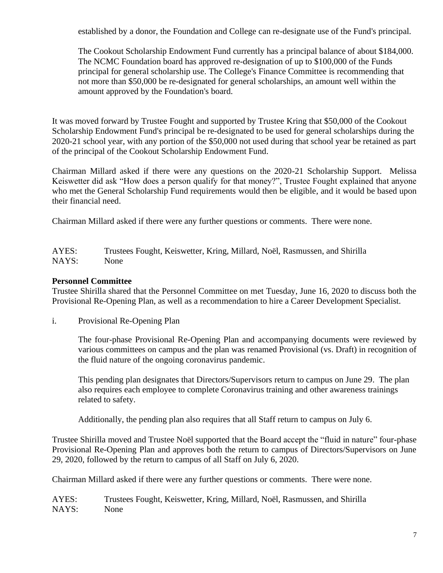established by a donor, the Foundation and College can re-designate use of the Fund's principal.

The Cookout Scholarship Endowment Fund currently has a principal balance of about \$184,000. The NCMC Foundation board has approved re-designation of up to \$100,000 of the Funds principal for general scholarship use. The College's Finance Committee is recommending that not more than \$50,000 be re-designated for general scholarships, an amount well within the amount approved by the Foundation's board.

It was moved forward by Trustee Fought and supported by Trustee Kring that \$50,000 of the Cookout Scholarship Endowment Fund's principal be re-designated to be used for general scholarships during the 2020-21 school year, with any portion of the \$50,000 not used during that school year be retained as part of the principal of the Cookout Scholarship Endowment Fund.

Chairman Millard asked if there were any questions on the 2020-21 Scholarship Support. Melissa Keiswetter did ask "How does a person qualify for that money?", Trustee Fought explained that anyone who met the General Scholarship Fund requirements would then be eligible, and it would be based upon their financial need.

Chairman Millard asked if there were any further questions or comments. There were none.

AYES: Trustees Fought, Keiswetter, Kring, Millard, Noël, Rasmussen, and Shirilla NAYS: None

# **Personnel Committee**

Trustee Shirilla shared that the Personnel Committee on met Tuesday, June 16, 2020 to discuss both the Provisional Re-Opening Plan, as well as a recommendation to hire a Career Development Specialist.

i. Provisional Re-Opening Plan

The four-phase Provisional Re-Opening Plan and accompanying documents were reviewed by various committees on campus and the plan was renamed Provisional (vs. Draft) in recognition of the fluid nature of the ongoing coronavirus pandemic.

This pending plan designates that Directors/Supervisors return to campus on June 29. The plan also requires each employee to complete Coronavirus training and other awareness trainings related to safety.

Additionally, the pending plan also requires that all Staff return to campus on July 6.

Trustee Shirilla moved and Trustee Noël supported that the Board accept the "fluid in nature" four-phase Provisional Re-Opening Plan and approves both the return to campus of Directors/Supervisors on June 29, 2020, followed by the return to campus of all Staff on July 6, 2020.

Chairman Millard asked if there were any further questions or comments. There were none.

AYES: Trustees Fought, Keiswetter, Kring, Millard, Noël, Rasmussen, and Shirilla NAYS: None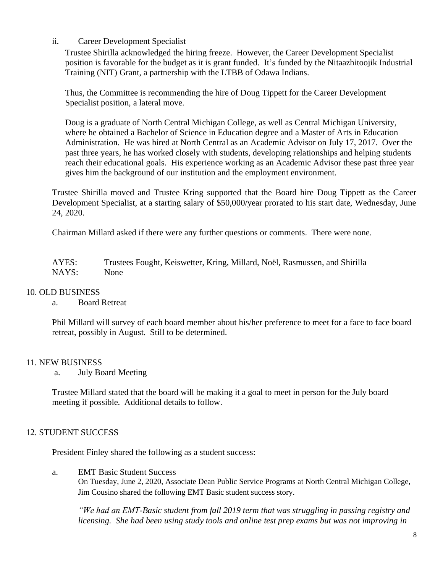## ii. Career Development Specialist

Trustee Shirilla acknowledged the hiring freeze. However, the Career Development Specialist position is favorable for the budget as it is grant funded. It's funded by the Nitaazhitoojik Industrial Training (NIT) Grant, a partnership with the LTBB of Odawa Indians.

Thus, the Committee is recommending the hire of Doug Tippett for the Career Development Specialist position, a lateral move.

Doug is a graduate of North Central Michigan College, as well as Central Michigan University, where he obtained a Bachelor of Science in Education degree and a Master of Arts in Education Administration. He was hired at North Central as an Academic Advisor on July 17, 2017. Over the past three years, he has worked closely with students, developing relationships and helping students reach their educational goals. His experience working as an Academic Advisor these past three year gives him the background of our institution and the employment environment.

Trustee Shirilla moved and Trustee Kring supported that the Board hire Doug Tippett as the Career Development Specialist, at a starting salary of \$50,000/year prorated to his start date, Wednesday, June 24, 2020.

Chairman Millard asked if there were any further questions or comments. There were none.

AYES: Trustees Fought, Keiswetter, Kring, Millard, Noël, Rasmussen, and Shirilla NAYS: None

## 10. OLD BUSINESS

a. Board Retreat

Phil Millard will survey of each board member about his/her preference to meet for a face to face board retreat, possibly in August. Still to be determined.

## 11. NEW BUSINESS

a. July Board Meeting

Trustee Millard stated that the board will be making it a goal to meet in person for the July board meeting if possible. Additional details to follow.

## 12. STUDENT SUCCESS

President Finley shared the following as a student success:

a. EMT Basic Student Success

On Tuesday, June 2, 2020, Associate Dean Public Service Programs at North Central Michigan College, Jim Cousino shared the following EMT Basic student success story.

*"We had an EMT-Basic student from fall 2019 term that was struggling in passing registry and licensing. She had been using study tools and online test prep exams but was not improving in*